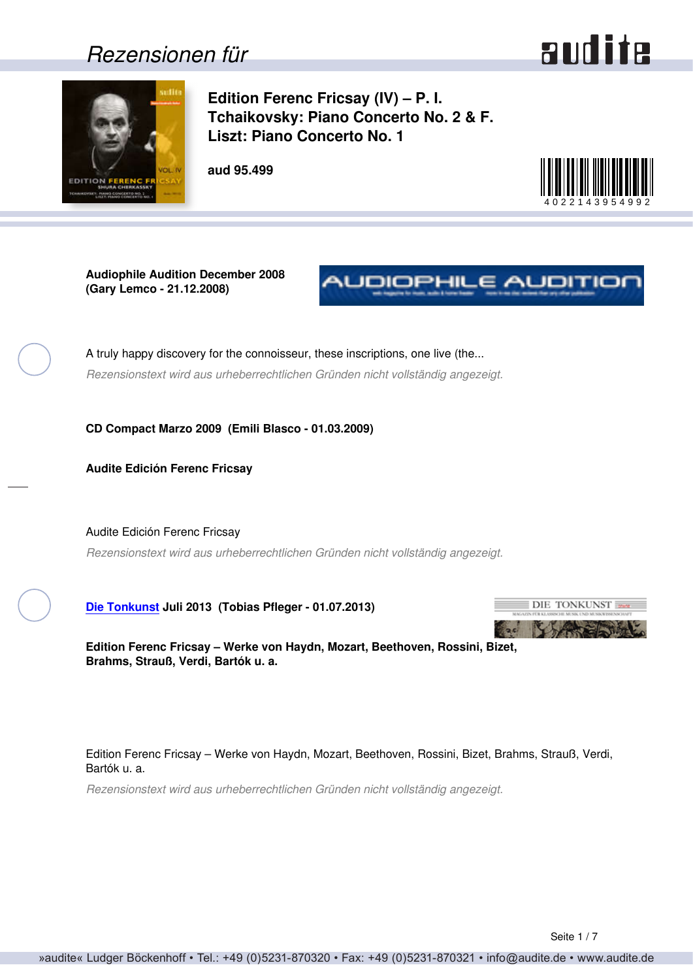## *Rezensionen für*



<span id="page-0-0"></span>

**Edition Ferenc Fricsay (IV) – P. I. Tchaikovsky: Piano Concerto No. 2 & F. Liszt: Piano Concerto No. 1**

**aud 95.499**



**Audiophile Audition December 2008 (Gary Lemco - 21.12.2008)**



A truly happy discovery for the connoisseur, these inscriptions, one live (the... *Rezensionstext wird aus urheberrechtlichen Gründen nicht vollständig angezeigt.*

**CD Compact Marzo 2009 (Emili Blasco - 01.03.2009)**

**Audite Edición Ferenc Fricsay**

Audite Edición Ferenc Fricsay *Rezensionstext wird aus urheberrechtlichen Gründen nicht vollständig angezeigt.*

**[Die Tonkunst](http://www.die-tonkunst.de) Juli 2013 (Tobias Pfleger - 01.07.2013)**



**Edition Ferenc Fricsay – Werke von Haydn, Mozart, Beethoven, Rossini, Bizet, Brahms, Strauß, Verdi, Bartók u. a.**

Edition Ferenc Fricsay – Werke von Haydn, Mozart, Beethoven, Rossini, Bizet, Brahms, Strauß, Verdi, Bartók u. a.

*Rezensionstext wird aus urheberrechtlichen Gründen nicht vollständig angezeigt.*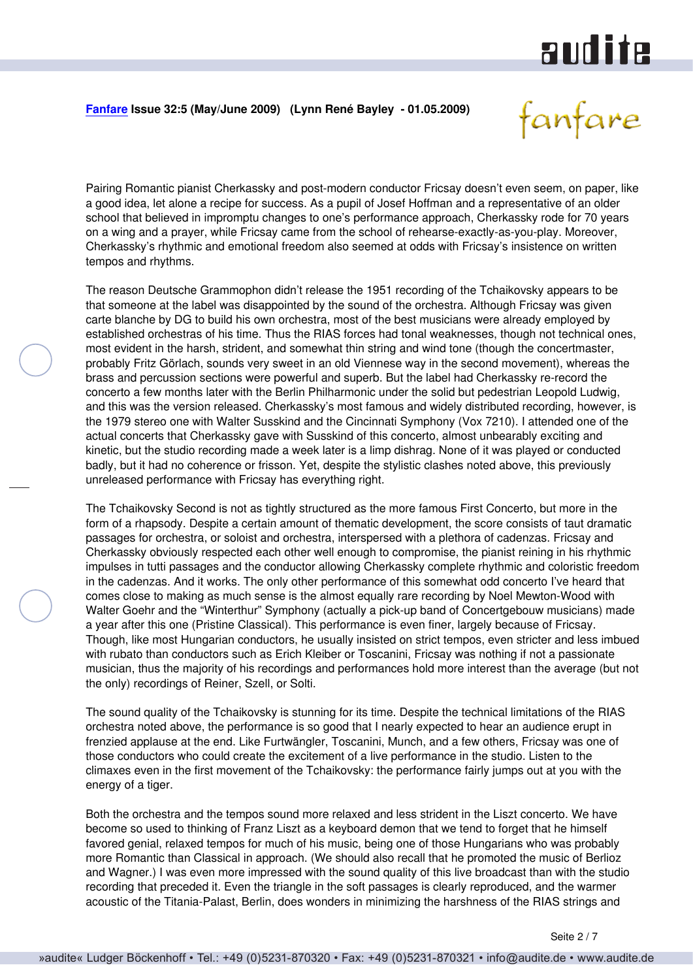# audite

### <span id="page-1-0"></span>**[Fanfare](http://www.fanfaremag.com/) Issue 32:5 (May/June 2009) (Lynn René Bayley - 01.05.2009)**

fanfare

Pairing Romantic pianist Cherkassky and post-modern conductor Fricsay doesn't even seem, on paper, like a good idea, let alone a recipe for success. As a pupil of Josef Hoffman and a representative of an older school that believed in impromptu changes to one's performance approach, Cherkassky rode for 70 years on a wing and a prayer, while Fricsay came from the school of rehearse-exactly-as-you-play. Moreover, Cherkassky's rhythmic and emotional freedom also seemed at odds with Fricsay's insistence on written tempos and rhythms.

The reason Deutsche Grammophon didn't release the 1951 recording of the Tchaikovsky appears to be that someone at the label was disappointed by the sound of the orchestra. Although Fricsay was given carte blanche by DG to build his own orchestra, most of the best musicians were already employed by established orchestras of his time. Thus the RIAS forces had tonal weaknesses, though not technical ones, most evident in the harsh, strident, and somewhat thin string and wind tone (though the concertmaster, probably Fritz Görlach, sounds very sweet in an old Viennese way in the second movement), whereas the brass and percussion sections were powerful and superb. But the label had Cherkassky re-record the concerto a few months later with the Berlin Philharmonic under the solid but pedestrian Leopold Ludwig, and this was the version released. Cherkassky's most famous and widely distributed recording, however, is the 1979 stereo one with Walter Susskind and the Cincinnati Symphony (Vox 7210). I attended one of the actual concerts that Cherkassky gave with Susskind of this concerto, almost unbearably exciting and kinetic, but the studio recording made a week later is a limp dishrag. None of it was played or conducted badly, but it had no coherence or frisson. Yet, despite the stylistic clashes noted above, this previously unreleased performance with Fricsay has everything right.

The Tchaikovsky Second is not as tightly structured as the more famous First Concerto, but more in the form of a rhapsody. Despite a certain amount of thematic development, the score consists of taut dramatic passages for orchestra, or soloist and orchestra, interspersed with a plethora of cadenzas. Fricsay and Cherkassky obviously respected each other well enough to compromise, the pianist reining in his rhythmic impulses in tutti passages and the conductor allowing Cherkassky complete rhythmic and coloristic freedom in the cadenzas. And it works. The only other performance of this somewhat odd concerto I've heard that comes close to making as much sense is the almost equally rare recording by Noel Mewton-Wood with Walter Goehr and the "Winterthur" Symphony (actually a pick-up band of Concertgebouw musicians) made a year after this one (Pristine Classical). This performance is even finer, largely because of Fricsay. Though, like most Hungarian conductors, he usually insisted on strict tempos, even stricter and less imbued with rubato than conductors such as Erich Kleiber or Toscanini, Fricsay was nothing if not a passionate musician, thus the majority of his recordings and performances hold more interest than the average (but not the only) recordings of Reiner, Szell, or Solti.

The sound quality of the Tchaikovsky is stunning for its time. Despite the technical limitations of the RIAS orchestra noted above, the performance is so good that I nearly expected to hear an audience erupt in frenzied applause at the end. Like Furtwängler, Toscanini, Munch, and a few others, Fricsay was one of those conductors who could create the excitement of a live performance in the studio. Listen to the climaxes even in the first movement of the Tchaikovsky: the performance fairly jumps out at you with the energy of a tiger.

Both the orchestra and the tempos sound more relaxed and less strident in the Liszt concerto. We have become so used to thinking of Franz Liszt as a keyboard demon that we tend to forget that he himself favored genial, relaxed tempos for much of his music, being one of those Hungarians who was probably more Romantic than Classical in approach. (We should also recall that he promoted the music of Berlioz and Wagner.) I was even more impressed with the sound quality of this live broadcast than with the studio recording that preceded it. Even the triangle in the soft passages is clearly reproduced, and the warmer acoustic of the Titania-Palast, Berlin, does wonders in minimizing the harshness of the RIAS strings and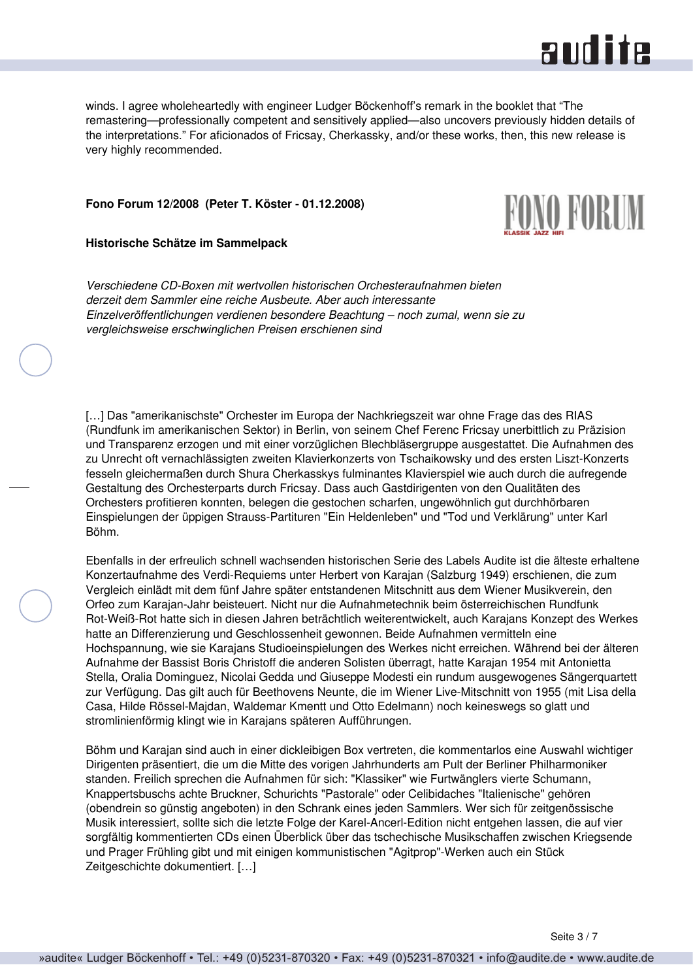

<span id="page-2-0"></span>winds. I agree wholeheartedly with engineer Ludger Böckenhoff's remark in the booklet that "The remastering—professionally competent and sensitively applied—also uncovers previously hidden details of the interpretations." For aficionados of Fricsay, Cherkassky, and/or these works, then, this new release is very highly recommended.

#### **Fono Forum 12/2008 (Peter T. Köster - 01.12.2008)**

#### **Historische Schätze im Sammelpack**



*Verschiedene CD-Boxen mit wertvollen historischen Orchesteraufnahmen bieten derzeit dem Sammler eine reiche Ausbeute. Aber auch interessante Einzelveröffentlichungen verdienen besondere Beachtung – noch zumal, wenn sie zu vergleichsweise erschwinglichen Preisen erschienen sind*

[...] Das "amerikanischste" Orchester im Europa der Nachkriegszeit war ohne Frage das des RIAS (Rundfunk im amerikanischen Sektor) in Berlin, von seinem Chef Ferenc Fricsay unerbittlich zu Präzision und Transparenz erzogen und mit einer vorzüglichen Blechbläsergruppe ausgestattet. Die Aufnahmen des zu Unrecht oft vernachlässigten zweiten Klavierkonzerts von Tschaikowsky und des ersten Liszt-Konzerts fesseln gleichermaßen durch Shura Cherkasskys fulminantes Klavierspiel wie auch durch die aufregende Gestaltung des Orchesterparts durch Fricsay. Dass auch Gastdirigenten von den Qualitäten des Orchesters profitieren konnten, belegen die gestochen scharfen, ungewöhnlich gut durchhörbaren Einspielungen der üppigen Strauss-Partituren "Ein Heldenleben" und "Tod und Verklärung" unter Karl Böhm.

Ebenfalls in der erfreulich schnell wachsenden historischen Serie des Labels Audite ist die älteste erhaltene Konzertaufnahme des Verdi-Requiems unter Herbert von Karajan (Salzburg 1949) erschienen, die zum Vergleich einlädt mit dem fünf Jahre später entstandenen Mitschnitt aus dem Wiener Musikverein, den Orfeo zum Karajan-Jahr beisteuert. Nicht nur die Aufnahmetechnik beim österreichischen Rundfunk Rot-Weiß-Rot hatte sich in diesen Jahren beträchtlich weiterentwickelt, auch Karajans Konzept des Werkes hatte an Differenzierung und Geschlossenheit gewonnen. Beide Aufnahmen vermitteln eine Hochspannung, wie sie Karajans Studioeinspielungen des Werkes nicht erreichen. Während bei der älteren Aufnahme der Bassist Boris Christoff die anderen Solisten überragt, hatte Karajan 1954 mit Antonietta Stella, Oralia Dominguez, Nicolai Gedda und Giuseppe Modesti ein rundum ausgewogenes Sängerquartett zur Verfügung. Das gilt auch für Beethovens Neunte, die im Wiener Live-Mitschnitt von 1955 (mit Lisa della Casa, Hilde Rössel-Majdan, Waldemar Kmentt und Otto Edelmann) noch keineswegs so glatt und stromlinienförmig klingt wie in Karajans späteren Aufführungen.

Böhm und Karajan sind auch in einer dickleibigen Box vertreten, die kommentarlos eine Auswahl wichtiger Dirigenten präsentiert, die um die Mitte des vorigen Jahrhunderts am Pult der Berliner Philharmoniker standen. Freilich sprechen die Aufnahmen für sich: "Klassiker" wie Furtwänglers vierte Schumann, Knappertsbuschs achte Bruckner, Schurichts "Pastorale" oder Celibidaches "Italienische" gehören (obendrein so günstig angeboten) in den Schrank eines jeden Sammlers. Wer sich für zeitgenössische Musik interessiert, sollte sich die letzte Folge der Karel-Ancerl-Edition nicht entgehen lassen, die auf vier sorgfältig kommentierten CDs einen Überblick über das tschechische Musikschaffen zwischen Kriegsende und Prager Frühling gibt und mit einigen kommunistischen "Agitprop"-Werken auch ein Stück Zeitgeschichte dokumentiert. […]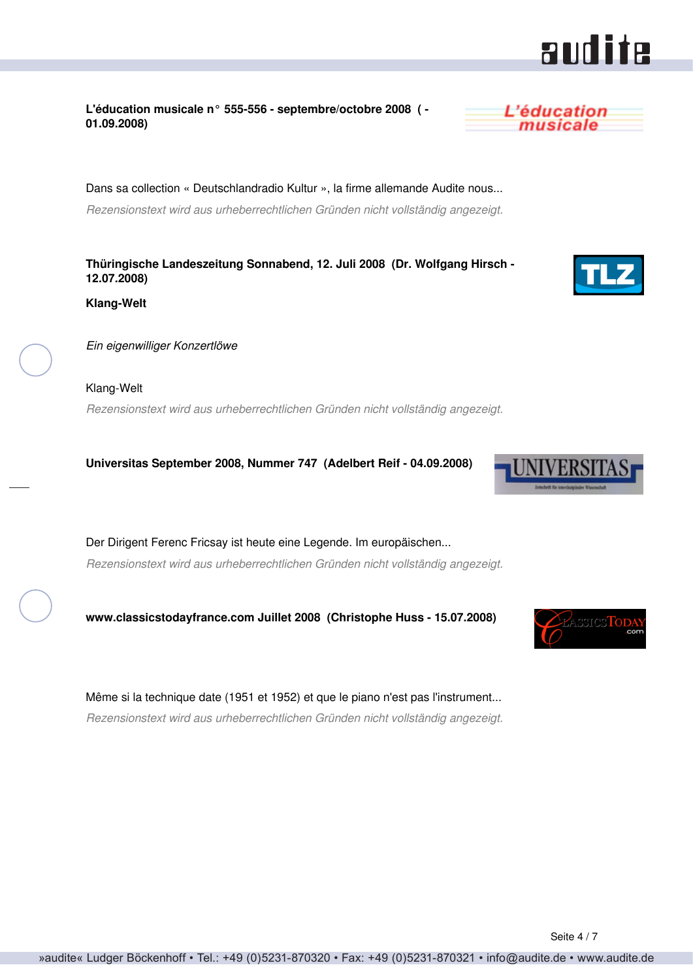### <span id="page-3-0"></span>**L'éducation musicale n° 555-556 - septembre/octobre 2008 ( - 01.09.2008)**

Dans sa collection « Deutschlandradio Kultur », la firme allemande Audite nous... *Rezensionstext wird aus urheberrechtlichen Gründen nicht vollständig angezeigt.*

**Thüringische Landeszeitung Sonnabend, 12. Juli 2008 (Dr. Wolfgang Hirsch - 12.07.2008)**

**Klang-Welt**

*Ein eigenwilliger Konzertlöwe*

Klang-Welt *Rezensionstext wird aus urheberrechtlichen Gründen nicht vollständig angezeigt.*

**Universitas September 2008, Nummer 747 (Adelbert Reif - 04.09.2008)**

Der Dirigent Ferenc Fricsay ist heute eine Legende. Im europäischen... *Rezensionstext wird aus urheberrechtlichen Gründen nicht vollständig angezeigt.*

**www.classicstodayfrance.com Juillet 2008 (Christophe Huss - 15.07.2008)**

Même si la technique date (1951 et 1952) et que le piano n'est pas l'instrument... *Rezensionstext wird aus urheberrechtlichen Gründen nicht vollständig angezeigt.*

L'éducation musicale







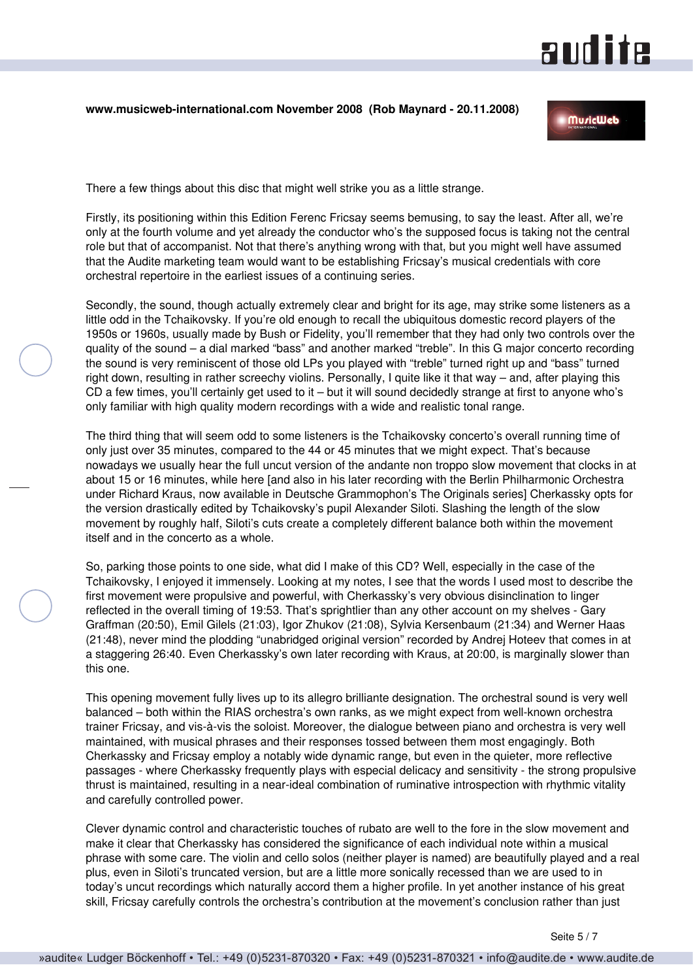# **andite**

#### <span id="page-4-0"></span>**www.musicweb-international.com November 2008 (Rob Maynard - 20.11.2008)**

**MuricWeb** 

There a few things about this disc that might well strike you as a little strange.

Firstly, its positioning within this Edition Ferenc Fricsay seems bemusing, to say the least. After all, we're only at the fourth volume and yet already the conductor who's the supposed focus is taking not the central role but that of accompanist. Not that there's anything wrong with that, but you might well have assumed that the Audite marketing team would want to be establishing Fricsay's musical credentials with core orchestral repertoire in the earliest issues of a continuing series.

Secondly, the sound, though actually extremely clear and bright for its age, may strike some listeners as a little odd in the Tchaikovsky. If you're old enough to recall the ubiquitous domestic record players of the 1950s or 1960s, usually made by Bush or Fidelity, you'll remember that they had only two controls over the quality of the sound – a dial marked "bass" and another marked "treble". In this G major concerto recording the sound is very reminiscent of those old LPs you played with "treble" turned right up and "bass" turned right down, resulting in rather screechy violins. Personally, I quite like it that way – and, after playing this CD a few times, you'll certainly get used to it – but it will sound decidedly strange at first to anyone who's only familiar with high quality modern recordings with a wide and realistic tonal range.

The third thing that will seem odd to some listeners is the Tchaikovsky concerto's overall running time of only just over 35 minutes, compared to the 44 or 45 minutes that we might expect. That's because nowadays we usually hear the full uncut version of the andante non troppo slow movement that clocks in at about 15 or 16 minutes, while here [and also in his later recording with the Berlin Philharmonic Orchestra under Richard Kraus, now available in Deutsche Grammophon's The Originals series] Cherkassky opts for the version drastically edited by Tchaikovsky's pupil Alexander Siloti. Slashing the length of the slow movement by roughly half, Siloti's cuts create a completely different balance both within the movement itself and in the concerto as a whole.

So, parking those points to one side, what did I make of this CD? Well, especially in the case of the Tchaikovsky, I enjoyed it immensely. Looking at my notes, I see that the words I used most to describe the first movement were propulsive and powerful, with Cherkassky's very obvious disinclination to linger reflected in the overall timing of 19:53. That's sprightlier than any other account on my shelves - Gary Graffman (20:50), Emil Gilels (21:03), Igor Zhukov (21:08), Sylvia Kersenbaum (21:34) and Werner Haas (21:48), never mind the plodding "unabridged original version" recorded by Andrej Hoteev that comes in at a staggering 26:40. Even Cherkassky's own later recording with Kraus, at 20:00, is marginally slower than this one.

This opening movement fully lives up to its allegro brilliante designation. The orchestral sound is very well balanced – both within the RIAS orchestra's own ranks, as we might expect from well-known orchestra trainer Fricsay, and vis-à-vis the soloist. Moreover, the dialogue between piano and orchestra is very well maintained, with musical phrases and their responses tossed between them most engagingly. Both Cherkassky and Fricsay employ a notably wide dynamic range, but even in the quieter, more reflective passages - where Cherkassky frequently plays with especial delicacy and sensitivity - the strong propulsive thrust is maintained, resulting in a near-ideal combination of ruminative introspection with rhythmic vitality and carefully controlled power.

Clever dynamic control and characteristic touches of rubato are well to the fore in the slow movement and make it clear that Cherkassky has considered the significance of each individual note within a musical phrase with some care. The violin and cello solos (neither player is named) are beautifully played and a real plus, even in Siloti's truncated version, but are a little more sonically recessed than we are used to in today's uncut recordings which naturally accord them a higher profile. In yet another instance of his great skill, Fricsay carefully controls the orchestra's contribution at the movement's conclusion rather than just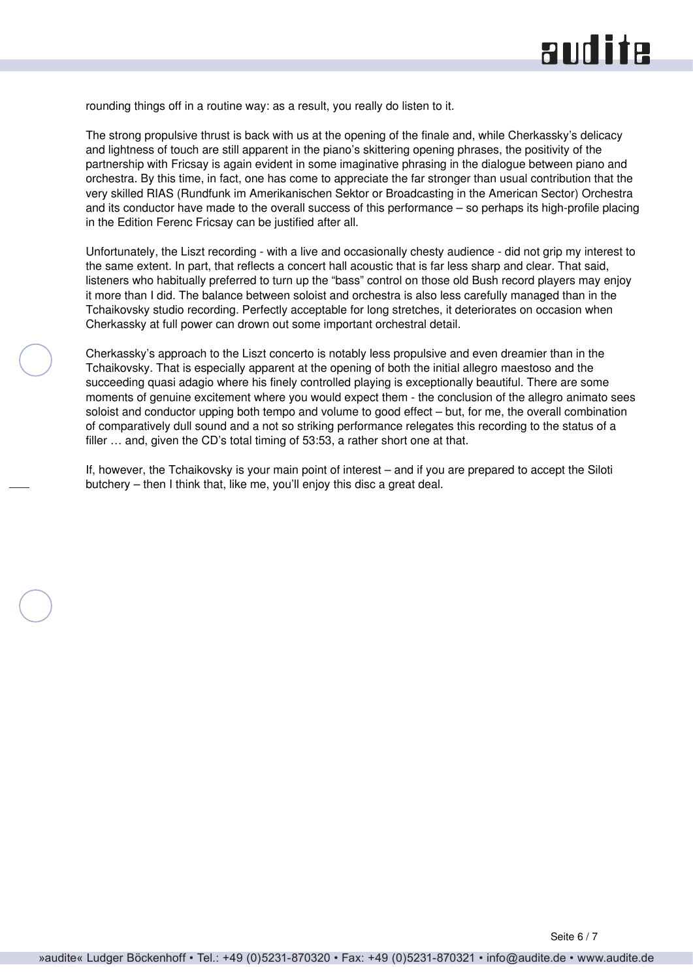rounding things off in a routine way: as a result, you really do listen to it.

The strong propulsive thrust is back with us at the opening of the finale and, while Cherkassky's delicacy and lightness of touch are still apparent in the piano's skittering opening phrases, the positivity of the partnership with Fricsay is again evident in some imaginative phrasing in the dialogue between piano and orchestra. By this time, in fact, one has come to appreciate the far stronger than usual contribution that the very skilled RIAS (Rundfunk im Amerikanischen Sektor or Broadcasting in the American Sector) Orchestra and its conductor have made to the overall success of this performance – so perhaps its high-profile placing in the Edition Ferenc Fricsay can be justified after all.

Unfortunately, the Liszt recording - with a live and occasionally chesty audience - did not grip my interest to the same extent. In part, that reflects a concert hall acoustic that is far less sharp and clear. That said, listeners who habitually preferred to turn up the "bass" control on those old Bush record players may enjoy it more than I did. The balance between soloist and orchestra is also less carefully managed than in the Tchaikovsky studio recording. Perfectly acceptable for long stretches, it deteriorates on occasion when Cherkassky at full power can drown out some important orchestral detail.

Cherkassky's approach to the Liszt concerto is notably less propulsive and even dreamier than in the Tchaikovsky. That is especially apparent at the opening of both the initial allegro maestoso and the succeeding quasi adagio where his finely controlled playing is exceptionally beautiful. There are some moments of genuine excitement where you would expect them - the conclusion of the allegro animato sees soloist and conductor upping both tempo and volume to good effect – but, for me, the overall combination of comparatively dull sound and a not so striking performance relegates this recording to the status of a filler ... and, given the CD's total timing of 53:53, a rather short one at that.

If, however, the Tchaikovsky is your main point of interest – and if you are prepared to accept the Siloti butchery – then I think that, like me, you'll enjoy this disc a great deal.